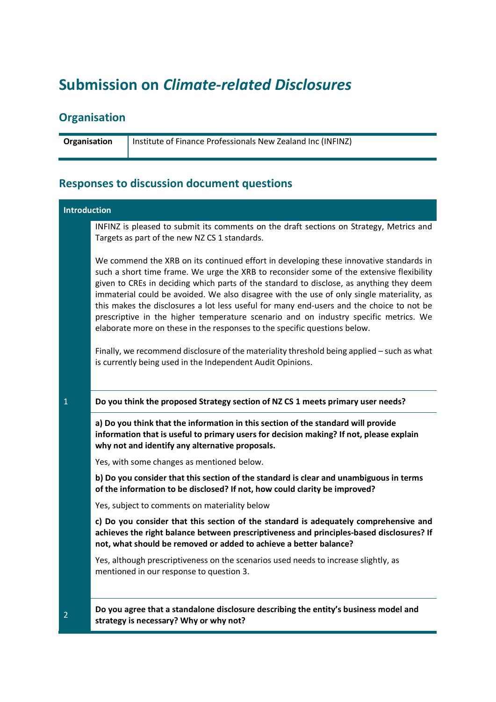# **Submission on** *Climate-related Disclosures*

# **Organisation**

**Organisation** | Institute of Finance Professionals New Zealand Inc (INFINZ)

# **Responses to discussion document questions**

| <b>Introduction</b> |                                                                                                                                                                                                                                                                                                                                                                                                                                                                                                                                                                                                                                              |
|---------------------|----------------------------------------------------------------------------------------------------------------------------------------------------------------------------------------------------------------------------------------------------------------------------------------------------------------------------------------------------------------------------------------------------------------------------------------------------------------------------------------------------------------------------------------------------------------------------------------------------------------------------------------------|
|                     | INFINZ is pleased to submit its comments on the draft sections on Strategy, Metrics and<br>Targets as part of the new NZ CS 1 standards.                                                                                                                                                                                                                                                                                                                                                                                                                                                                                                     |
|                     | We commend the XRB on its continued effort in developing these innovative standards in<br>such a short time frame. We urge the XRB to reconsider some of the extensive flexibility<br>given to CREs in deciding which parts of the standard to disclose, as anything they deem<br>immaterial could be avoided. We also disagree with the use of only single materiality, as<br>this makes the disclosures a lot less useful for many end-users and the choice to not be<br>prescriptive in the higher temperature scenario and on industry specific metrics. We<br>elaborate more on these in the responses to the specific questions below. |
|                     | Finally, we recommend disclosure of the materiality threshold being applied - such as what<br>is currently being used in the Independent Audit Opinions.                                                                                                                                                                                                                                                                                                                                                                                                                                                                                     |
| $\mathbf{1}$        | Do you think the proposed Strategy section of NZ CS 1 meets primary user needs?                                                                                                                                                                                                                                                                                                                                                                                                                                                                                                                                                              |
|                     |                                                                                                                                                                                                                                                                                                                                                                                                                                                                                                                                                                                                                                              |
|                     | a) Do you think that the information in this section of the standard will provide<br>information that is useful to primary users for decision making? If not, please explain<br>why not and identify any alternative proposals.                                                                                                                                                                                                                                                                                                                                                                                                              |
|                     | Yes, with some changes as mentioned below.                                                                                                                                                                                                                                                                                                                                                                                                                                                                                                                                                                                                   |
|                     | b) Do you consider that this section of the standard is clear and unambiguous in terms<br>of the information to be disclosed? If not, how could clarity be improved?                                                                                                                                                                                                                                                                                                                                                                                                                                                                         |
|                     | Yes, subject to comments on materiality below                                                                                                                                                                                                                                                                                                                                                                                                                                                                                                                                                                                                |
|                     | c) Do you consider that this section of the standard is adequately comprehensive and<br>achieves the right balance between prescriptiveness and principles-based disclosures? If<br>not, what should be removed or added to achieve a better balance?                                                                                                                                                                                                                                                                                                                                                                                        |
|                     | Yes, although prescriptiveness on the scenarios used needs to increase slightly, as<br>mentioned in our response to question 3.                                                                                                                                                                                                                                                                                                                                                                                                                                                                                                              |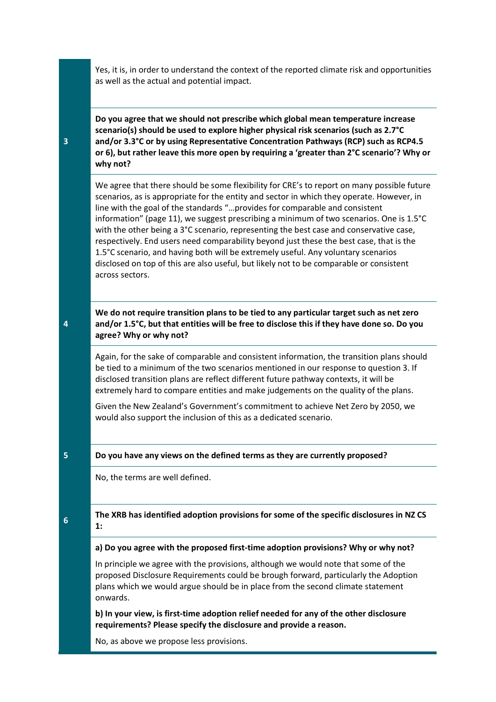Yes, it is, in order to understand the context of the reported climate risk and opportunities as well as the actual and potential impact.

**Do you agree that we should not prescribe which global mean temperature increase scenario(s) should be used to explore higher physical risk scenarios (such as 2.7°C and/or 3.3°C or by using Representative Concentration Pathways (RCP) such as RCP4.5 or 6), but rather leave this more open by requiring a 'greater than 2°C scenario'? Why or why not?**

We agree that there should be some flexibility for CRE's to report on many possible future scenarios, as is appropriate for the entity and sector in which they operate. However, in line with the goal of the standards "…provides for comparable and consistent information" (page 11), we suggest prescribing a minimum of two scenarios. One is 1.5°C with the other being a 3°C scenario, representing the best case and conservative case, respectively. End users need comparability beyond just these the best case, that is the 1.5°C scenario, and having both will be extremely useful. Any voluntary scenarios disclosed on top of this are also useful, but likely not to be comparable or consistent across sectors.

**We do not require transition plans to be tied to any particular target such as net zero and/or 1.5°C, but that entities will be free to disclose this if they have done so. Do you agree? Why or why not?**

Again, for the sake of comparable and consistent information, the transition plans should be tied to a minimum of the two scenarios mentioned in our response to question 3. If disclosed transition plans are reflect different future pathway contexts, it will be extremely hard to compare entities and make judgements on the quality of the plans.

Given the New Zealand's Government's commitment to achieve Net Zero by 2050, we would also support the inclusion of this as a dedicated scenario.

### **5 Do you have any views on the defined terms as they are currently proposed?**

No, the terms are well defined.

#### **6The XRB has identified adoption provisions for some of the specific disclosures in NZ CS 1:**

**a) Do you agree with the proposed first-time adoption provisions? Why or why not?**

In principle we agree with the provisions, although we would note that some of the proposed Disclosure Requirements could be brough forward, particularly the Adoption plans which we would argue should be in place from the second climate statement onwards.

**b) In your view, is first-time adoption relief needed for any of the other disclosure requirements? Please specify the disclosure and provide a reason.**

No, as above we propose less provisions.

**4**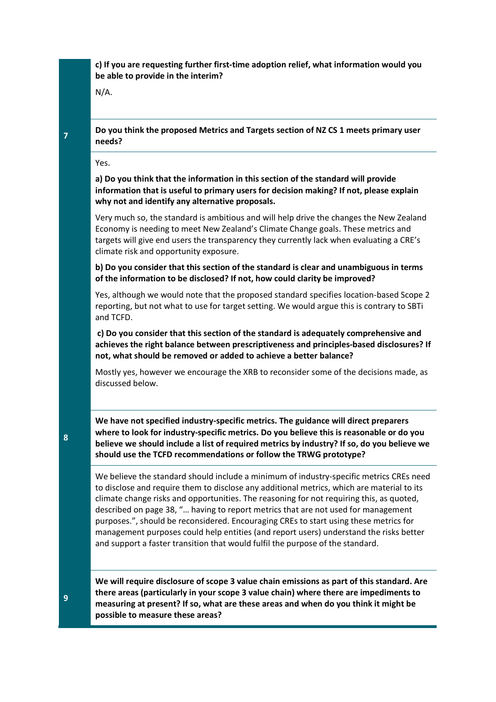### **c) If you are requesting further first-time adoption relief, what information would you be able to provide in the interim?**

N/A.

**2 Do you think the proposed Metrics and Targets section of NZ CS 1 meets primary user needs?**

Yes.

**a) Do you think that the information in this section of the standard will provide information that is useful to primary users for decision making? If not, please explain why not and identify any alternative proposals.** 

Very much so, the standard is ambitious and will help drive the changes the New Zealand Economy is needing to meet New Zealand's Climate Change goals. These metrics and targets will give end users the transparency they currently lack when evaluating a CRE's climate risk and opportunity exposure.

**b) Do you consider that this section of the standard is clear and unambiguous in terms of the information to be disclosed? If not, how could clarity be improved?** 

Yes, although we would note that the proposed standard specifies location-based Scope 2 reporting, but not what to use for target setting. We would argue this is contrary to SBTi and TCFD.

**c) Do you consider that this section of the standard is adequately comprehensive and achieves the right balance between prescriptiveness and principles-based disclosures? If not, what should be removed or added to achieve a better balance?**

Mostly yes, however we encourage the XRB to reconsider some of the decisions made, as discussed below.

**We have not specified industry-specific metrics. The guidance will direct preparers where to look for industry-specific metrics. Do you believe this is reasonable or do you believe we should include a list of required metrics by industry? If so, do you believe we should use the TCFD recommendations or follow the TRWG prototype?**

We believe the standard should include a minimum of industry-specific metrics CREs need to disclose and require them to disclose any additional metrics, which are material to its climate change risks and opportunities. The reasoning for not requiring this, as quoted, described on page 38, "… having to report metrics that are not used for management purposes.", should be reconsidered. Encouraging CREs to start using these metrics for management purposes could help entities (and report users) understand the risks better and support a faster transition that would fulfil the purpose of the standard.

**We will require disclosure of scope 3 value chain emissions as part of this standard. Are there areas (particularly in your scope 3 value chain) where there are impediments to measuring at present? If so, what are these areas and when do you think it might be possible to measure these areas?**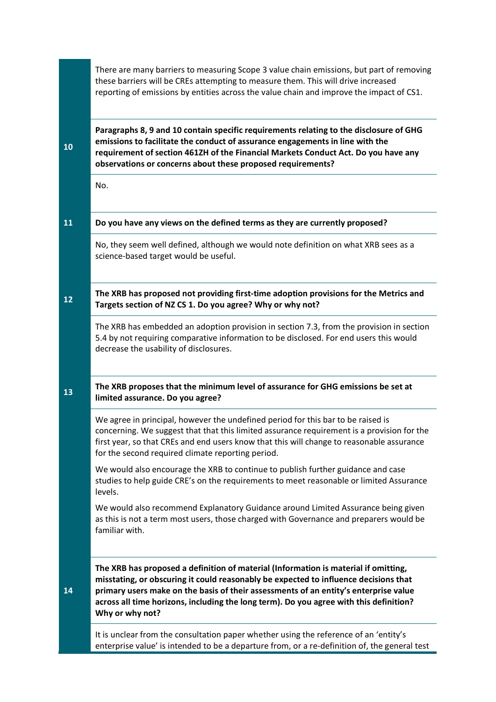|    | There are many barriers to measuring Scope 3 value chain emissions, but part of removing<br>these barriers will be CREs attempting to measure them. This will drive increased<br>reporting of emissions by entities across the value chain and improve the impact of CS1.                                                                                                        |
|----|----------------------------------------------------------------------------------------------------------------------------------------------------------------------------------------------------------------------------------------------------------------------------------------------------------------------------------------------------------------------------------|
| 10 | Paragraphs 8, 9 and 10 contain specific requirements relating to the disclosure of GHG<br>emissions to facilitate the conduct of assurance engagements in line with the<br>requirement of section 4612H of the Financial Markets Conduct Act. Do you have any<br>observations or concerns about these proposed requirements?                                                     |
|    | No.                                                                                                                                                                                                                                                                                                                                                                              |
| 11 | Do you have any views on the defined terms as they are currently proposed?                                                                                                                                                                                                                                                                                                       |
|    | No, they seem well defined, although we would note definition on what XRB sees as a<br>science-based target would be useful.                                                                                                                                                                                                                                                     |
| 12 | The XRB has proposed not providing first-time adoption provisions for the Metrics and<br>Targets section of NZ CS 1. Do you agree? Why or why not?                                                                                                                                                                                                                               |
|    | The XRB has embedded an adoption provision in section 7.3, from the provision in section<br>5.4 by not requiring comparative information to be disclosed. For end users this would<br>decrease the usability of disclosures.                                                                                                                                                     |
| 13 | The XRB proposes that the minimum level of assurance for GHG emissions be set at<br>limited assurance. Do you agree?                                                                                                                                                                                                                                                             |
|    | We agree in principal, however the undefined period for this bar to be raised is<br>concerning. We suggest that that this limited assurance requirement is a provision for the<br>first year, so that CREs and end users know that this will change to reasonable assurance<br>for the second required climate reporting period.                                                 |
|    | We would also encourage the XRB to continue to publish further guidance and case<br>studies to help guide CRE's on the requirements to meet reasonable or limited Assurance<br>levels.                                                                                                                                                                                           |
|    | We would also recommend Explanatory Guidance around Limited Assurance being given<br>as this is not a term most users, those charged with Governance and preparers would be<br>familiar with.                                                                                                                                                                                    |
| 14 | The XRB has proposed a definition of material (Information is material if omitting,<br>misstating, or obscuring it could reasonably be expected to influence decisions that<br>primary users make on the basis of their assessments of an entity's enterprise value<br>across all time horizons, including the long term). Do you agree with this definition?<br>Why or why not? |
|    | It is unclear from the consultation paper whether using the reference of an 'entity's<br>enterprise value' is intended to be a departure from, or a re-definition of, the general test                                                                                                                                                                                           |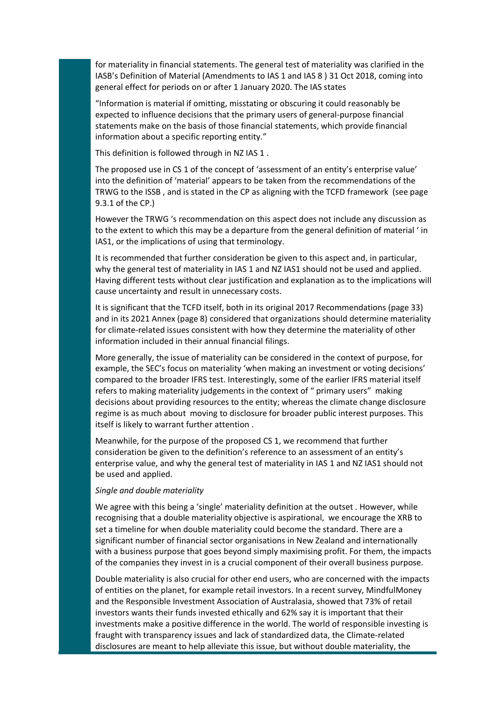for materiality in financial statements. The general test of materiality was clarified in the IASB's Definition of Material (Amendments to IAS 1 and IAS 8 ) 31 Oct 2018, coming into general effect for periods on or after 1 January 2020. The IAS states

"Information is material if omitting, misstating or obscuring it could reasonably be expected to influence decisions that the primary users of general-purpose financial statements make on the basis of those financial statements, which provide financial information about a specific reporting entity."

This definition is followed through in NZ IAS 1 .

The proposed use in CS 1 of the concept of 'assessment of an entity's enterprise value' into the definition of 'material' appears to be taken from the recommendations of the TRWG to the ISSB , and is stated in the CP as aligning with the TCFD framework (see page 9.3.1 of the CP.)

However the TRWG 's recommendation on this aspect does not include any discussion as to the extent to which this may be a departure from the general definition of material ' in IAS1, or the implications of using that terminology.

It is recommended that further consideration be given to this aspect and, in particular, why the general test of materiality in IAS 1 and NZ IAS1 should not be used and applied. Having different tests without clear justification and explanation as to the implications will cause uncertainty and result in unnecessary costs.

It is significant that the TCFD itself, both in its original 2017 Recommendations (page 33) and in its 2021 Annex (page 8) considered that organizations should determine materiality for climate-related issues consistent with how they determine the materiality of other information included in their annual financial filings.

More generally, the issue of materiality can be considered in the context of purpose, for example, the SEC's focus on materiality 'when making an investment or voting decisions' compared to the broader IFRS test. Interestingly, some of the earlier IFRS material itself refers to making materiality judgements in the context of " primary users" making decisions about providing resources to the entity; whereas the climate change disclosure regime is as much about moving to disclosure for broader public interest purposes. This itself is likely to warrant further attention .

Meanwhile, for the purpose of the proposed CS 1, we recommend that further consideration be given to the definition's reference to an assessment of an entity's enterprise value, and why the general test of materiality in IAS 1 and NZ IAS1 should not be used and applied.

#### *Single and double materiality*

We agree with this being a 'single' materiality definition at the outset . However, while recognising that a double materiality objective is aspirational, we encourage the XRB to set a timeline for when double materiality could become the standard. There are a significant number of financial sector organisations in New Zealand and internationally with a business purpose that goes beyond simply maximising profit. For them, the impacts of the companies they invest in is a crucial component of their overall business purpose.

Double materiality is also crucial for other end users, who are concerned with the impacts of entities on the planet, for example retail investors. In a recent survey, MindfulMoney and the Responsible Investment Association of Australasia, showed that 73% of retail investors wants their funds invested ethically and 62% say it is important that their investments make a positive difference in the world. The world of responsible investing is fraught with transparency issues and lack of standardized data, the Climate-related disclosures are meant to help alleviate this issue, but without double materiality, the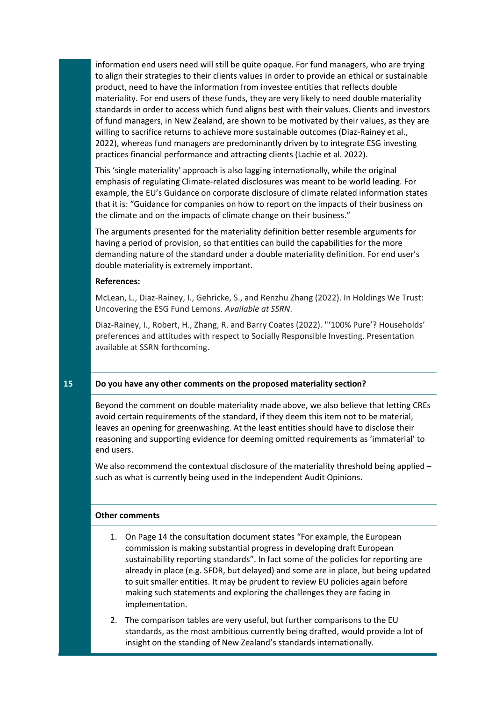information end users need will still be quite opaque. For fund managers, who are trying to align their strategies to their clients values in order to provide an ethical or sustainable product, need to have the information from investee entities that reflects double materiality. For end users of these funds, they are very likely to need double materiality standards in order to access which fund aligns best with their values. Clients and investors of fund managers, in New Zealand, are shown to be motivated by their values, as they are willing to sacrifice returns to achieve more sustainable outcomes (Diaz-Rainey et al., 2022), whereas fund managers are predominantly driven by to integrate ESG investing practices financial performance and attracting clients (Lachie et al. 2022).

This 'single materiality' approach is also lagging internationally, while the original emphasis of regulating Climate-related disclosures was meant to be world leading. For example, the EU's Guidance on corporate disclosure of climate related information states that it is: "Guidance for companies on how to report on the impacts of their business on the climate and on the impacts of climate change on their business."

The arguments presented for the materiality definition better resemble arguments for having a period of provision, so that entities can build the capabilities for the more demanding nature of the standard under a double materiality definition. For end user's double materiality is extremely important.

#### **References:**

McLean, L., Diaz-Rainey, I., Gehricke, S., and Renzhu Zhang (2022). In Holdings We Trust: Uncovering the ESG Fund Lemons. *Available at SSRN*.

Diaz-Rainey, I., Robert, H., Zhang, R. and Barry Coates (2022). "'100% Pure'? Households' preferences and attitudes with respect to Socially Responsible Investing. Presentation available at SSRN forthcoming.

## **15 Do you have any other comments on the proposed materiality section?**

Beyond the comment on double materiality made above, we also believe that letting CREs avoid certain requirements of the standard, if they deem this item not to be material, leaves an opening for greenwashing. At the least entities should have to disclose their reasoning and supporting evidence for deeming omitted requirements as 'immaterial' to end users.

We also recommend the contextual disclosure of the materiality threshold being applied such as what is currently being used in the Independent Audit Opinions.

### **Other comments**

- 1. On Page 14 the consultation document states "For example, the European commission is making substantial progress in developing draft European sustainability reporting standards". In fact some of the policies for reporting are already in place (e.g. SFDR, but delayed) and some are in place, but being updated to suit smaller entities. It may be prudent to review EU policies again before making such statements and exploring the challenges they are facing in implementation.
- 2. The comparison tables are very useful, but further comparisons to the EU standards, as the most ambitious currently being drafted, would provide a lot of insight on the standing of New Zealand's standards internationally.